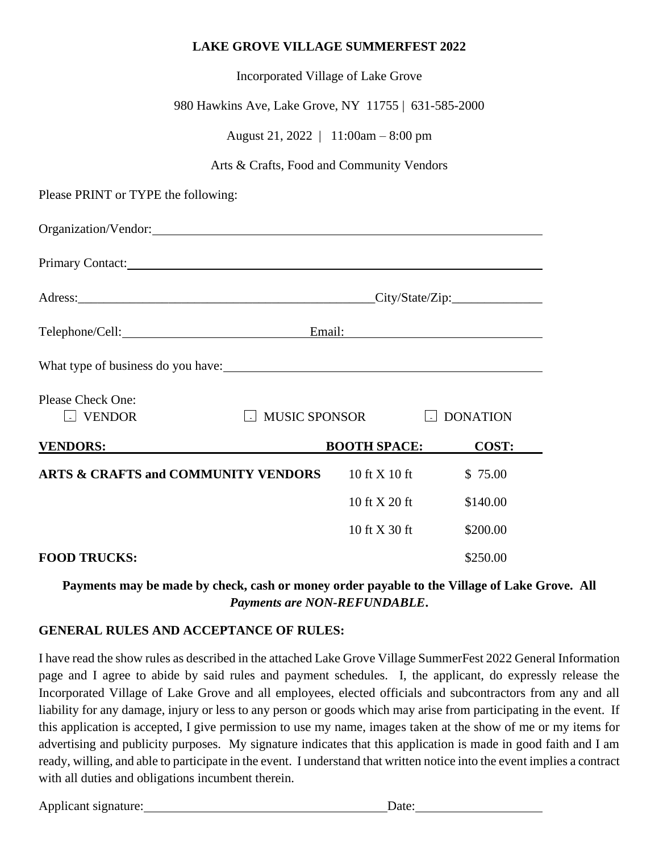## **LAKE GROVE VILLAGE SUMMERFEST 2022**

| Incorporated Village of Lake Grove                   |                                                    |                     |                 |  |
|------------------------------------------------------|----------------------------------------------------|---------------------|-----------------|--|
| 980 Hawkins Ave, Lake Grove, NY 11755   631-585-2000 |                                                    |                     |                 |  |
| August 21, 2022   11:00am $-8:00$ pm                 |                                                    |                     |                 |  |
| Arts & Crafts, Food and Community Vendors            |                                                    |                     |                 |  |
| Please PRINT or TYPE the following:                  |                                                    |                     |                 |  |
|                                                      |                                                    |                     |                 |  |
| Primary Contact:                                     |                                                    |                     |                 |  |
|                                                      | Adress: City/State/Zip:                            |                     |                 |  |
|                                                      | Telephone/Cell: Email: Email:                      |                     |                 |  |
| What type of business do you have:                   |                                                    |                     |                 |  |
| <b>Please Check One:</b><br><b>VENDOR</b>            | <b>MUSIC SPONSOR</b><br>$\vert \hspace{1mm} \vert$ |                     | <b>DONATION</b> |  |
| <b>VENDORS:</b>                                      |                                                    | <b>BOOTH SPACE:</b> | COST:           |  |
| <b>ARTS &amp; CRAFTS and COMMUNITY VENDORS</b>       |                                                    | 10 ft X 10 ft       | \$75.00         |  |
|                                                      |                                                    | 10 ft X 20 ft       | \$140.00        |  |
|                                                      |                                                    |                     |                 |  |

#### **FOOD TRUCKS:** \$250.00

**Payments may be made by check, cash or money order payable to the Village of Lake Grove. All**  *Payments are NON-REFUNDABLE***.**

### **GENERAL RULES AND ACCEPTANCE OF RULES:**

I have read the show rules as described in the attached Lake Grove Village SummerFest 2022 General Information page and I agree to abide by said rules and payment schedules. I, the applicant, do expressly release the Incorporated Village of Lake Grove and all employees, elected officials and subcontractors from any and all liability for any damage, injury or less to any person or goods which may arise from participating in the event. If this application is accepted, I give permission to use my name, images taken at the show of me or my items for advertising and publicity purposes. My signature indicates that this application is made in good faith and I am ready, willing, and able to participate in the event. I understand that written notice into the event implies a contract with all duties and obligations incumbent therein.

| Applicant signature: | Date: |
|----------------------|-------|
|                      |       |

10 ft X 30 ft \$200.00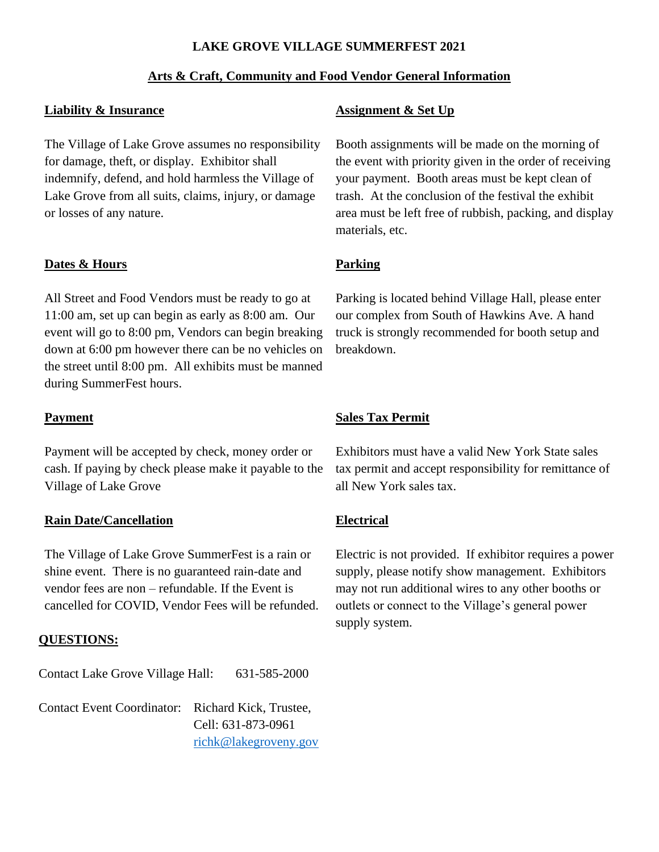## **LAKE GROVE VILLAGE SUMMERFEST 2021**

## **Arts & Craft, Community and Food Vendor General Information**

### **Liability & Insurance**

The Village of Lake Grove assumes no responsibility for damage, theft, or display. Exhibitor shall indemnify, defend, and hold harmless the Village of Lake Grove from all suits, claims, injury, or damage or losses of any nature.

### **Dates & Hours**

All Street and Food Vendors must be ready to go at 11:00 am, set up can begin as early as 8:00 am. Our event will go to 8:00 pm, Vendors can begin breaking down at 6:00 pm however there can be no vehicles on the street until 8:00 pm. All exhibits must be manned during SummerFest hours.

#### **Payment**

Payment will be accepted by check, money order or cash. If paying by check please make it payable to the Village of Lake Grove

### **Rain Date/Cancellation**

The Village of Lake Grove SummerFest is a rain or shine event. There is no guaranteed rain-date and vendor fees are non – refundable. If the Event is cancelled for COVID, Vendor Fees will be refunded.

### **QUESTIONS:**

Contact Lake Grove Village Hall: 631-585-2000

Contact Event Coordinator: Richard Kick, Trustee, Cell: 631-873-0961 [richk@lakegroveny.gov](mailto:richk@lakegroveny.gov)

### **Assignment & Set Up**

Booth assignments will be made on the morning of the event with priority given in the order of receiving your payment. Booth areas must be kept clean of trash. At the conclusion of the festival the exhibit area must be left free of rubbish, packing, and display materials, etc.

## **Parking**

Parking is located behind Village Hall, please enter our complex from South of Hawkins Ave. A hand truck is strongly recommended for booth setup and breakdown.

### **Sales Tax Permit**

Exhibitors must have a valid New York State sales tax permit and accept responsibility for remittance of all New York sales tax.

### **Electrical**

Electric is not provided. If exhibitor requires a power supply, please notify show management. Exhibitors may not run additional wires to any other booths or outlets or connect to the Village's general power supply system.